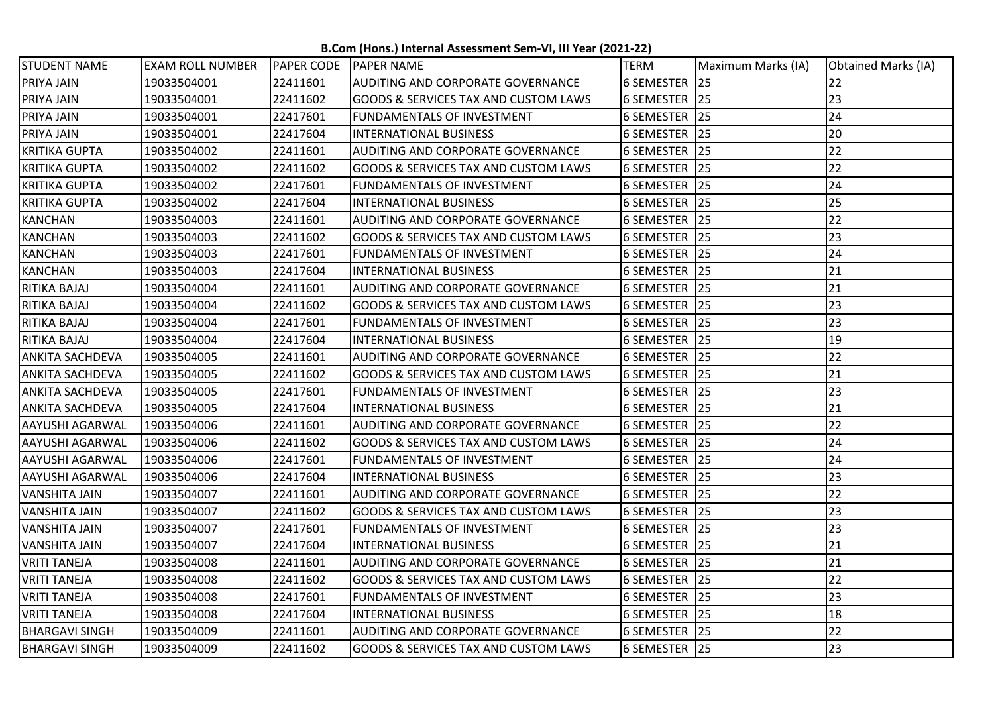**B.Com (Hons.) Internal Assessment Sem-VI, III Year (2021-22)**

| <b>STUDENT NAME</b>    | <b>EXAM ROLL NUMBER</b> | <b>PAPER CODE</b> | <b>PAPER NAME</b>                               | <b>TERM</b>   | Maximum Marks (IA) | <b>Obtained Marks (IA)</b> |
|------------------------|-------------------------|-------------------|-------------------------------------------------|---------------|--------------------|----------------------------|
| PRIYA JAIN             | 19033504001             | 22411601          | AUDITING AND CORPORATE GOVERNANCE               | 6 SEMESTER 25 |                    | 22                         |
| PRIYA JAIN             | 19033504001             | 22411602          | <b>GOODS &amp; SERVICES TAX AND CUSTOM LAWS</b> | 6 SEMESTER 25 |                    | 23                         |
| PRIYA JAIN             | 19033504001             | 22417601          | FUNDAMENTALS OF INVESTMENT                      | 6 SEMESTER 25 |                    | 24                         |
| PRIYA JAIN             | 19033504001             | 22417604          | INTERNATIONAL BUSINESS                          | 6 SEMESTER 25 |                    | 20                         |
| <b>KRITIKA GUPTA</b>   | 19033504002             | 22411601          | <b>AUDITING AND CORPORATE GOVERNANCE</b>        | 6 SEMESTER 25 |                    | 22                         |
| <b>KRITIKA GUPTA</b>   | 19033504002             | 22411602          | <b>GOODS &amp; SERVICES TAX AND CUSTOM LAWS</b> | 6 SEMESTER 25 |                    | 22                         |
| KRITIKA GUPTA          | 19033504002             | 22417601          | <b>FUNDAMENTALS OF INVESTMENT</b>               | 6 SEMESTER 25 |                    | 24                         |
| <b>KRITIKA GUPTA</b>   | 19033504002             | 22417604          | INTERNATIONAL BUSINESS                          | 6 SEMESTER 25 |                    | 25                         |
| <b>KANCHAN</b>         | 19033504003             | 22411601          | <b>AUDITING AND CORPORATE GOVERNANCE</b>        | 6 SEMESTER 25 |                    | 22                         |
| <b>KANCHAN</b>         | 19033504003             | 22411602          | <b>GOODS &amp; SERVICES TAX AND CUSTOM LAWS</b> | 6 SEMESTER 25 |                    | 23                         |
| <b>KANCHAN</b>         | 19033504003             | 22417601          | <b>FUNDAMENTALS OF INVESTMENT</b>               | 6 SEMESTER 25 |                    | 24                         |
| <b>KANCHAN</b>         | 19033504003             | 22417604          | <b>INTERNATIONAL BUSINESS</b>                   | 6 SEMESTER 25 |                    | 21                         |
| RITIKA BAJAJ           | 19033504004             | 22411601          | AUDITING AND CORPORATE GOVERNANCE               | 6 SEMESTER 25 |                    | 21                         |
| RITIKA BAJAJ           | 19033504004             | 22411602          | <b>GOODS &amp; SERVICES TAX AND CUSTOM LAWS</b> | 6 SEMESTER 25 |                    | 23                         |
| RITIKA BAJAJ           | 19033504004             | 22417601          | <b>FUNDAMENTALS OF INVESTMENT</b>               | 6 SEMESTER 25 |                    | 23                         |
| RITIKA BAJAJ           | 19033504004             | 22417604          | <b>INTERNATIONAL BUSINESS</b>                   | 6 SEMESTER 25 |                    | 19                         |
| <b>ANKITA SACHDEVA</b> | 19033504005             | 22411601          | AUDITING AND CORPORATE GOVERNANCE               | 6 SEMESTER 25 |                    | 22                         |
| <b>ANKITA SACHDEVA</b> | 19033504005             | 22411602          | <b>GOODS &amp; SERVICES TAX AND CUSTOM LAWS</b> | 6 SEMESTER 25 |                    | 21                         |
| <b>ANKITA SACHDEVA</b> | 19033504005             | 22417601          | FUNDAMENTALS OF INVESTMENT                      | 6 SEMESTER 25 |                    | 23                         |
| <b>ANKITA SACHDEVA</b> | 19033504005             | 22417604          | <b>INTERNATIONAL BUSINESS</b>                   | 6 SEMESTER 25 |                    | 21                         |
| AAYUSHI AGARWAL        | 19033504006             | 22411601          | AUDITING AND CORPORATE GOVERNANCE               | 6 SEMESTER 25 |                    | 22                         |
| AAYUSHI AGARWAL        | 19033504006             | 22411602          | <b>GOODS &amp; SERVICES TAX AND CUSTOM LAWS</b> | 6 SEMESTER 25 |                    | 24                         |
| AAYUSHI AGARWAL        | 19033504006             | 22417601          | FUNDAMENTALS OF INVESTMENT                      | 6 SEMESTER 25 |                    | 24                         |
| AAYUSHI AGARWAL        | 19033504006             | 22417604          | <b>INTERNATIONAL BUSINESS</b>                   | 6 SEMESTER 25 |                    | 23                         |
| <b>VANSHITA JAIN</b>   | 19033504007             | 22411601          | <b>AUDITING AND CORPORATE GOVERNANCE</b>        | 6 SEMESTER 25 |                    | 22                         |
| <b>VANSHITA JAIN</b>   | 19033504007             | 22411602          | <b>GOODS &amp; SERVICES TAX AND CUSTOM LAWS</b> | 6 SEMESTER 25 |                    | 23                         |
| VANSHITA JAIN          | 19033504007             | 22417601          | <b>FUNDAMENTALS OF INVESTMENT</b>               | 6 SEMESTER 25 |                    | 23                         |
| <b>VANSHITA JAIN</b>   | 19033504007             | 22417604          | <b>INTERNATIONAL BUSINESS</b>                   | 6 SEMESTER 25 |                    | 21                         |
| <b>VRITI TANEJA</b>    | 19033504008             | 22411601          | AUDITING AND CORPORATE GOVERNANCE               | 6 SEMESTER 25 |                    | 21                         |
| <b>VRITI TANEJA</b>    | 19033504008             | 22411602          | <b>GOODS &amp; SERVICES TAX AND CUSTOM LAWS</b> | 6 SEMESTER 25 |                    | 22                         |
| <b>VRITI TANEJA</b>    | 19033504008             | 22417601          | <b>FUNDAMENTALS OF INVESTMENT</b>               | 6 SEMESTER 25 |                    | 23                         |
| <b>VRITI TANEJA</b>    | 19033504008             | 22417604          | <b>INTERNATIONAL BUSINESS</b>                   | 6 SEMESTER 25 |                    | 18                         |
| <b>BHARGAVI SINGH</b>  | 19033504009             | 22411601          | AUDITING AND CORPORATE GOVERNANCE               | 6 SEMESTER 25 |                    | 22                         |
| <b>BHARGAVI SINGH</b>  | 19033504009             | 22411602          | <b>GOODS &amp; SERVICES TAX AND CUSTOM LAWS</b> | 6 SEMESTER 25 |                    | 23                         |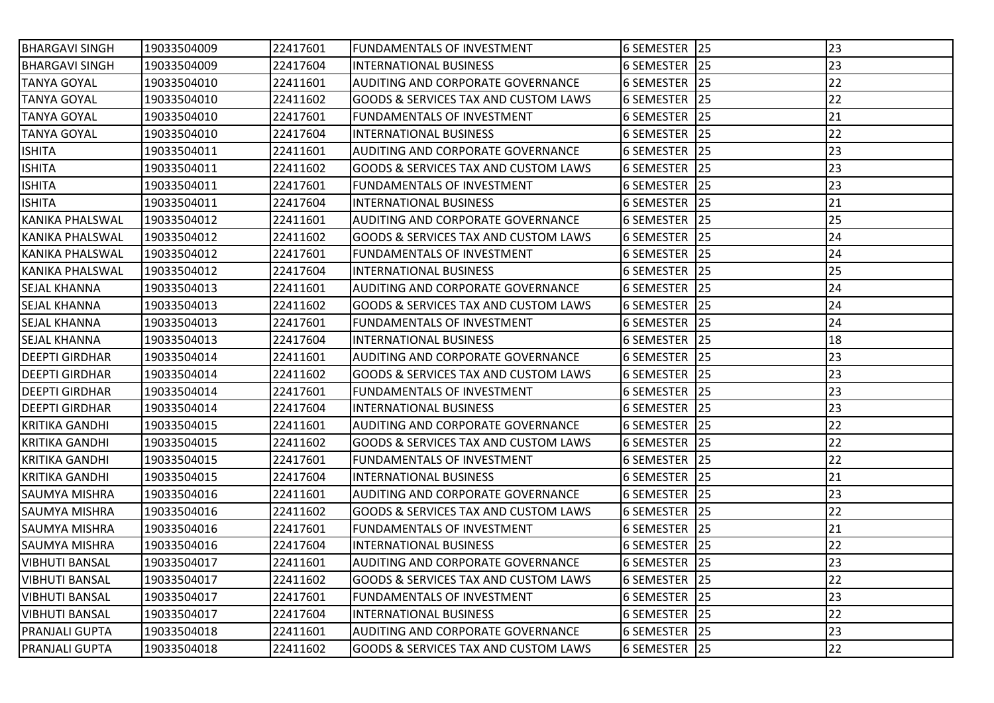| 19033504009 | 22417601 |                                                 |                                                                                                                                                                                                                                                                                                                                                                                                                                                                                                                                                                                                                                                                                                                                                                                                                           | 23                                                                                                                                                                                                                                                                                                                                                                                                                                                                                                                                                                                                                                       |
|-------------|----------|-------------------------------------------------|---------------------------------------------------------------------------------------------------------------------------------------------------------------------------------------------------------------------------------------------------------------------------------------------------------------------------------------------------------------------------------------------------------------------------------------------------------------------------------------------------------------------------------------------------------------------------------------------------------------------------------------------------------------------------------------------------------------------------------------------------------------------------------------------------------------------------|------------------------------------------------------------------------------------------------------------------------------------------------------------------------------------------------------------------------------------------------------------------------------------------------------------------------------------------------------------------------------------------------------------------------------------------------------------------------------------------------------------------------------------------------------------------------------------------------------------------------------------------|
| 19033504009 | 22417604 |                                                 |                                                                                                                                                                                                                                                                                                                                                                                                                                                                                                                                                                                                                                                                                                                                                                                                                           | 23                                                                                                                                                                                                                                                                                                                                                                                                                                                                                                                                                                                                                                       |
| 19033504010 | 22411601 |                                                 |                                                                                                                                                                                                                                                                                                                                                                                                                                                                                                                                                                                                                                                                                                                                                                                                                           | 22                                                                                                                                                                                                                                                                                                                                                                                                                                                                                                                                                                                                                                       |
| 19033504010 | 22411602 |                                                 |                                                                                                                                                                                                                                                                                                                                                                                                                                                                                                                                                                                                                                                                                                                                                                                                                           | 22                                                                                                                                                                                                                                                                                                                                                                                                                                                                                                                                                                                                                                       |
| 19033504010 | 22417601 | <b>FUNDAMENTALS OF INVESTMENT</b>               |                                                                                                                                                                                                                                                                                                                                                                                                                                                                                                                                                                                                                                                                                                                                                                                                                           | 21                                                                                                                                                                                                                                                                                                                                                                                                                                                                                                                                                                                                                                       |
| 19033504010 | 22417604 | <b>INTERNATIONAL BUSINESS</b>                   |                                                                                                                                                                                                                                                                                                                                                                                                                                                                                                                                                                                                                                                                                                                                                                                                                           | 22                                                                                                                                                                                                                                                                                                                                                                                                                                                                                                                                                                                                                                       |
| 19033504011 | 22411601 | <b>AUDITING AND CORPORATE GOVERNANCE</b>        |                                                                                                                                                                                                                                                                                                                                                                                                                                                                                                                                                                                                                                                                                                                                                                                                                           | 23                                                                                                                                                                                                                                                                                                                                                                                                                                                                                                                                                                                                                                       |
| 19033504011 | 22411602 |                                                 |                                                                                                                                                                                                                                                                                                                                                                                                                                                                                                                                                                                                                                                                                                                                                                                                                           | 23                                                                                                                                                                                                                                                                                                                                                                                                                                                                                                                                                                                                                                       |
| 19033504011 | 22417601 |                                                 |                                                                                                                                                                                                                                                                                                                                                                                                                                                                                                                                                                                                                                                                                                                                                                                                                           | 23                                                                                                                                                                                                                                                                                                                                                                                                                                                                                                                                                                                                                                       |
| 19033504011 | 22417604 | <b>INTERNATIONAL BUSINESS</b>                   |                                                                                                                                                                                                                                                                                                                                                                                                                                                                                                                                                                                                                                                                                                                                                                                                                           | 21                                                                                                                                                                                                                                                                                                                                                                                                                                                                                                                                                                                                                                       |
| 19033504012 | 22411601 |                                                 |                                                                                                                                                                                                                                                                                                                                                                                                                                                                                                                                                                                                                                                                                                                                                                                                                           | 25                                                                                                                                                                                                                                                                                                                                                                                                                                                                                                                                                                                                                                       |
| 19033504012 | 22411602 | <b>GOODS &amp; SERVICES TAX AND CUSTOM LAWS</b> |                                                                                                                                                                                                                                                                                                                                                                                                                                                                                                                                                                                                                                                                                                                                                                                                                           | 24                                                                                                                                                                                                                                                                                                                                                                                                                                                                                                                                                                                                                                       |
| 19033504012 | 22417601 |                                                 |                                                                                                                                                                                                                                                                                                                                                                                                                                                                                                                                                                                                                                                                                                                                                                                                                           | 24                                                                                                                                                                                                                                                                                                                                                                                                                                                                                                                                                                                                                                       |
| 19033504012 | 22417604 | <b>INTERNATIONAL BUSINESS</b>                   |                                                                                                                                                                                                                                                                                                                                                                                                                                                                                                                                                                                                                                                                                                                                                                                                                           | 25                                                                                                                                                                                                                                                                                                                                                                                                                                                                                                                                                                                                                                       |
| 19033504013 | 22411601 |                                                 |                                                                                                                                                                                                                                                                                                                                                                                                                                                                                                                                                                                                                                                                                                                                                                                                                           | 24                                                                                                                                                                                                                                                                                                                                                                                                                                                                                                                                                                                                                                       |
| 19033504013 | 22411602 |                                                 |                                                                                                                                                                                                                                                                                                                                                                                                                                                                                                                                                                                                                                                                                                                                                                                                                           | 24                                                                                                                                                                                                                                                                                                                                                                                                                                                                                                                                                                                                                                       |
| 19033504013 | 22417601 | <b>FUNDAMENTALS OF INVESTMENT</b>               |                                                                                                                                                                                                                                                                                                                                                                                                                                                                                                                                                                                                                                                                                                                                                                                                                           | 24                                                                                                                                                                                                                                                                                                                                                                                                                                                                                                                                                                                                                                       |
| 19033504013 | 22417604 | <b>INTERNATIONAL BUSINESS</b>                   |                                                                                                                                                                                                                                                                                                                                                                                                                                                                                                                                                                                                                                                                                                                                                                                                                           | 18                                                                                                                                                                                                                                                                                                                                                                                                                                                                                                                                                                                                                                       |
| 19033504014 | 22411601 | AUDITING AND CORPORATE GOVERNANCE               |                                                                                                                                                                                                                                                                                                                                                                                                                                                                                                                                                                                                                                                                                                                                                                                                                           | 23                                                                                                                                                                                                                                                                                                                                                                                                                                                                                                                                                                                                                                       |
| 19033504014 | 22411602 |                                                 |                                                                                                                                                                                                                                                                                                                                                                                                                                                                                                                                                                                                                                                                                                                                                                                                                           | 23                                                                                                                                                                                                                                                                                                                                                                                                                                                                                                                                                                                                                                       |
| 19033504014 | 22417601 |                                                 |                                                                                                                                                                                                                                                                                                                                                                                                                                                                                                                                                                                                                                                                                                                                                                                                                           | 23                                                                                                                                                                                                                                                                                                                                                                                                                                                                                                                                                                                                                                       |
| 19033504014 | 22417604 | <b>INTERNATIONAL BUSINESS</b>                   |                                                                                                                                                                                                                                                                                                                                                                                                                                                                                                                                                                                                                                                                                                                                                                                                                           | 23                                                                                                                                                                                                                                                                                                                                                                                                                                                                                                                                                                                                                                       |
| 19033504015 | 22411601 |                                                 |                                                                                                                                                                                                                                                                                                                                                                                                                                                                                                                                                                                                                                                                                                                                                                                                                           | 22                                                                                                                                                                                                                                                                                                                                                                                                                                                                                                                                                                                                                                       |
| 19033504015 | 22411602 | <b>GOODS &amp; SERVICES TAX AND CUSTOM LAWS</b> |                                                                                                                                                                                                                                                                                                                                                                                                                                                                                                                                                                                                                                                                                                                                                                                                                           | 22                                                                                                                                                                                                                                                                                                                                                                                                                                                                                                                                                                                                                                       |
| 19033504015 | 22417601 | <b>FUNDAMENTALS OF INVESTMENT</b>               |                                                                                                                                                                                                                                                                                                                                                                                                                                                                                                                                                                                                                                                                                                                                                                                                                           | 22                                                                                                                                                                                                                                                                                                                                                                                                                                                                                                                                                                                                                                       |
| 19033504015 | 22417604 | <b>INTERNATIONAL BUSINESS</b>                   |                                                                                                                                                                                                                                                                                                                                                                                                                                                                                                                                                                                                                                                                                                                                                                                                                           | 21                                                                                                                                                                                                                                                                                                                                                                                                                                                                                                                                                                                                                                       |
| 19033504016 | 22411601 |                                                 |                                                                                                                                                                                                                                                                                                                                                                                                                                                                                                                                                                                                                                                                                                                                                                                                                           | 23                                                                                                                                                                                                                                                                                                                                                                                                                                                                                                                                                                                                                                       |
| 19033504016 | 22411602 |                                                 |                                                                                                                                                                                                                                                                                                                                                                                                                                                                                                                                                                                                                                                                                                                                                                                                                           | 22                                                                                                                                                                                                                                                                                                                                                                                                                                                                                                                                                                                                                                       |
| 19033504016 | 22417601 |                                                 |                                                                                                                                                                                                                                                                                                                                                                                                                                                                                                                                                                                                                                                                                                                                                                                                                           | 21                                                                                                                                                                                                                                                                                                                                                                                                                                                                                                                                                                                                                                       |
| 19033504016 | 22417604 | <b>INTERNATIONAL BUSINESS</b>                   |                                                                                                                                                                                                                                                                                                                                                                                                                                                                                                                                                                                                                                                                                                                                                                                                                           | 22                                                                                                                                                                                                                                                                                                                                                                                                                                                                                                                                                                                                                                       |
| 19033504017 | 22411601 | AUDITING AND CORPORATE GOVERNANCE               |                                                                                                                                                                                                                                                                                                                                                                                                                                                                                                                                                                                                                                                                                                                                                                                                                           | 23                                                                                                                                                                                                                                                                                                                                                                                                                                                                                                                                                                                                                                       |
| 19033504017 | 22411602 |                                                 |                                                                                                                                                                                                                                                                                                                                                                                                                                                                                                                                                                                                                                                                                                                                                                                                                           | 22                                                                                                                                                                                                                                                                                                                                                                                                                                                                                                                                                                                                                                       |
| 19033504017 | 22417601 |                                                 |                                                                                                                                                                                                                                                                                                                                                                                                                                                                                                                                                                                                                                                                                                                                                                                                                           | 23                                                                                                                                                                                                                                                                                                                                                                                                                                                                                                                                                                                                                                       |
| 19033504017 | 22417604 | <b>INTERNATIONAL BUSINESS</b>                   |                                                                                                                                                                                                                                                                                                                                                                                                                                                                                                                                                                                                                                                                                                                                                                                                                           | 22                                                                                                                                                                                                                                                                                                                                                                                                                                                                                                                                                                                                                                       |
| 19033504018 | 22411601 |                                                 |                                                                                                                                                                                                                                                                                                                                                                                                                                                                                                                                                                                                                                                                                                                                                                                                                           | 23                                                                                                                                                                                                                                                                                                                                                                                                                                                                                                                                                                                                                                       |
| 19033504018 | 22411602 | <b>GOODS &amp; SERVICES TAX AND CUSTOM LAWS</b> |                                                                                                                                                                                                                                                                                                                                                                                                                                                                                                                                                                                                                                                                                                                                                                                                                           | 22                                                                                                                                                                                                                                                                                                                                                                                                                                                                                                                                                                                                                                       |
|             |          |                                                 | <b>FUNDAMENTALS OF INVESTMENT</b><br><b>INTERNATIONAL BUSINESS</b><br>AUDITING AND CORPORATE GOVERNANCE<br><b>GOODS &amp; SERVICES TAX AND CUSTOM LAWS</b><br><b>GOODS &amp; SERVICES TAX AND CUSTOM LAWS</b><br><b>FUNDAMENTALS OF INVESTMENT</b><br><b>AUDITING AND CORPORATE GOVERNANCE</b><br><b>FUNDAMENTALS OF INVESTMENT</b><br>IAUDITING AND CORPORATE GOVERNANCE<br><b>GOODS &amp; SERVICES TAX AND CUSTOM LAWS</b><br><b>GOODS &amp; SERVICES TAX AND CUSTOM LAWS</b><br><b>IFUNDAMENTALS OF INVESTMENT</b><br>AUDITING AND CORPORATE GOVERNANCE<br>AUDITING AND CORPORATE GOVERNANCE<br><b>I</b> GOODS & SERVICES TAX AND CUSTOM LAWS<br><b>FUNDAMENTALS OF INVESTMENT</b><br><b>GOODS &amp; SERVICES TAX AND CUSTOM LAWS</b><br><b>FUNDAMENTALS OF INVESTMENT</b><br><b>AUDITING AND CORPORATE GOVERNANCE</b> | 6 SEMESTER 25<br>6 SEMESTER 25<br>6 SEMESTER 25<br>6 SEMESTER 25<br>6 SEMESTER 25<br>6 SEMESTER 25<br>6 SEMESTER 25<br>6 SEMESTER 25<br>6 SEMESTER 25<br>6 SEMESTER 25<br>6 SEMESTER 25<br>6 SEMESTER 25<br>6 SEMESTER 25<br>6 SEMESTER 25<br>6 SEMESTER 125<br>6 SEMESTER 25<br>6 SEMESTER 125<br>6 SEMESTER   25<br>6 SEMESTER 25<br>6 SEMESTER 25<br>6 SEMESTER 25<br>6 SEMESTER 25<br>6 SEMESTER 25<br>6 SEMESTER 25<br>6 SEMESTER 25<br>6 SEMESTER 25<br>6 SEMESTER 25<br>6 SEMESTER 25<br>6 SEMESTER 25<br>6 SEMESTER   25<br>6 SEMESTER 25<br>6 SEMESTER 25<br>6 SEMESTER 25<br>6 SEMESTER   25<br>6 SEMESTER 25<br>6 SEMESTER 25 |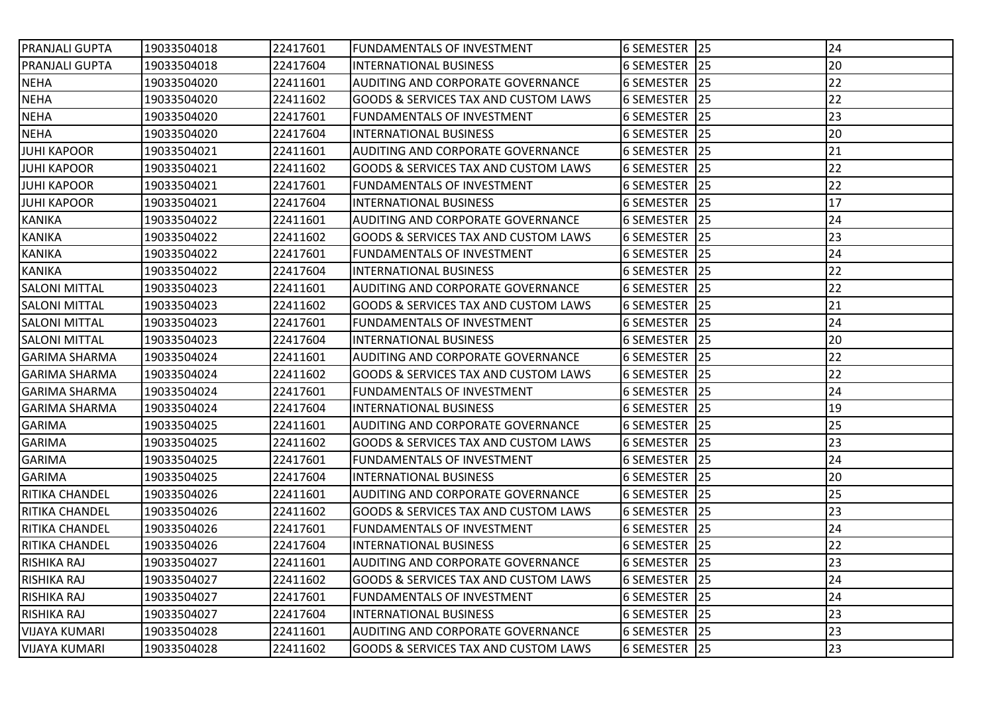| 19033504018 | 22417601 |                                                 |                            | 24                                                                                                                                                                                                                                                                                                                                                                                                                                                                                                                                                                                                                                 |
|-------------|----------|-------------------------------------------------|----------------------------|------------------------------------------------------------------------------------------------------------------------------------------------------------------------------------------------------------------------------------------------------------------------------------------------------------------------------------------------------------------------------------------------------------------------------------------------------------------------------------------------------------------------------------------------------------------------------------------------------------------------------------|
| 19033504018 | 22417604 | <b>INTERNATIONAL BUSINESS</b>                   |                            | 20                                                                                                                                                                                                                                                                                                                                                                                                                                                                                                                                                                                                                                 |
| 19033504020 | 22411601 | AUDITING AND CORPORATE GOVERNANCE               |                            | 22                                                                                                                                                                                                                                                                                                                                                                                                                                                                                                                                                                                                                                 |
| 19033504020 | 22411602 | <b>GOODS &amp; SERVICES TAX AND CUSTOM LAWS</b> |                            | 22                                                                                                                                                                                                                                                                                                                                                                                                                                                                                                                                                                                                                                 |
| 19033504020 | 22417601 | FUNDAMENTALS OF INVESTMENT                      |                            | 23                                                                                                                                                                                                                                                                                                                                                                                                                                                                                                                                                                                                                                 |
| 19033504020 | 22417604 | <b>INTERNATIONAL BUSINESS</b>                   |                            | 20                                                                                                                                                                                                                                                                                                                                                                                                                                                                                                                                                                                                                                 |
| 19033504021 | 22411601 | AUDITING AND CORPORATE GOVERNANCE               |                            | 21                                                                                                                                                                                                                                                                                                                                                                                                                                                                                                                                                                                                                                 |
| 19033504021 | 22411602 | <b>GOODS &amp; SERVICES TAX AND CUSTOM LAWS</b> |                            | 22                                                                                                                                                                                                                                                                                                                                                                                                                                                                                                                                                                                                                                 |
| 19033504021 | 22417601 | <b>FUNDAMENTALS OF INVESTMENT</b>               |                            | 22                                                                                                                                                                                                                                                                                                                                                                                                                                                                                                                                                                                                                                 |
| 19033504021 | 22417604 | <b>INTERNATIONAL BUSINESS</b>                   |                            | 17                                                                                                                                                                                                                                                                                                                                                                                                                                                                                                                                                                                                                                 |
| 19033504022 | 22411601 | AUDITING AND CORPORATE GOVERNANCE               |                            | 24                                                                                                                                                                                                                                                                                                                                                                                                                                                                                                                                                                                                                                 |
| 19033504022 | 22411602 | GOODS & SERVICES TAX AND CUSTOM LAWS            |                            | 23                                                                                                                                                                                                                                                                                                                                                                                                                                                                                                                                                                                                                                 |
| 19033504022 | 22417601 | <b>FUNDAMENTALS OF INVESTMENT</b>               |                            | 24                                                                                                                                                                                                                                                                                                                                                                                                                                                                                                                                                                                                                                 |
| 19033504022 | 22417604 | <b>INTERNATIONAL BUSINESS</b>                   |                            | 22                                                                                                                                                                                                                                                                                                                                                                                                                                                                                                                                                                                                                                 |
| 19033504023 | 22411601 | <b>AUDITING AND CORPORATE GOVERNANCE</b>        |                            | 22                                                                                                                                                                                                                                                                                                                                                                                                                                                                                                                                                                                                                                 |
| 19033504023 | 22411602 | <b>GOODS &amp; SERVICES TAX AND CUSTOM LAWS</b> |                            | 21                                                                                                                                                                                                                                                                                                                                                                                                                                                                                                                                                                                                                                 |
| 19033504023 | 22417601 | <b>FUNDAMENTALS OF INVESTMENT</b>               |                            | 24                                                                                                                                                                                                                                                                                                                                                                                                                                                                                                                                                                                                                                 |
| 19033504023 | 22417604 | <b>INTERNATIONAL BUSINESS</b>                   |                            | 20                                                                                                                                                                                                                                                                                                                                                                                                                                                                                                                                                                                                                                 |
| 19033504024 | 22411601 | AUDITING AND CORPORATE GOVERNANCE               |                            | 22                                                                                                                                                                                                                                                                                                                                                                                                                                                                                                                                                                                                                                 |
| 19033504024 | 22411602 | <b>GOODS &amp; SERVICES TAX AND CUSTOM LAWS</b> |                            | 22                                                                                                                                                                                                                                                                                                                                                                                                                                                                                                                                                                                                                                 |
| 19033504024 | 22417601 | FUNDAMENTALS OF INVESTMENT                      |                            | 24                                                                                                                                                                                                                                                                                                                                                                                                                                                                                                                                                                                                                                 |
| 19033504024 | 22417604 | <b>INTERNATIONAL BUSINESS</b>                   |                            | 19                                                                                                                                                                                                                                                                                                                                                                                                                                                                                                                                                                                                                                 |
| 19033504025 | 22411601 | <b>AUDITING AND CORPORATE GOVERNANCE</b>        |                            | 25                                                                                                                                                                                                                                                                                                                                                                                                                                                                                                                                                                                                                                 |
| 19033504025 | 22411602 | <b>GOODS &amp; SERVICES TAX AND CUSTOM LAWS</b> |                            | 23                                                                                                                                                                                                                                                                                                                                                                                                                                                                                                                                                                                                                                 |
| 19033504025 | 22417601 | <b>FUNDAMENTALS OF INVESTMENT</b>               |                            | 24                                                                                                                                                                                                                                                                                                                                                                                                                                                                                                                                                                                                                                 |
| 19033504025 | 22417604 | <b>INTERNATIONAL BUSINESS</b>                   |                            | 20                                                                                                                                                                                                                                                                                                                                                                                                                                                                                                                                                                                                                                 |
| 19033504026 | 22411601 | AUDITING AND CORPORATE GOVERNANCE               |                            | 25                                                                                                                                                                                                                                                                                                                                                                                                                                                                                                                                                                                                                                 |
| 19033504026 | 22411602 | <b>GOODS &amp; SERVICES TAX AND CUSTOM LAWS</b> |                            | 23                                                                                                                                                                                                                                                                                                                                                                                                                                                                                                                                                                                                                                 |
| 19033504026 | 22417601 | FUNDAMENTALS OF INVESTMENT                      |                            | 24                                                                                                                                                                                                                                                                                                                                                                                                                                                                                                                                                                                                                                 |
| 19033504026 | 22417604 | <b>INTERNATIONAL BUSINESS</b>                   |                            | 22                                                                                                                                                                                                                                                                                                                                                                                                                                                                                                                                                                                                                                 |
| 19033504027 | 22411601 | <b>AUDITING AND CORPORATE GOVERNANCE</b>        |                            | 23                                                                                                                                                                                                                                                                                                                                                                                                                                                                                                                                                                                                                                 |
| 19033504027 | 22411602 | <b>GOODS &amp; SERVICES TAX AND CUSTOM LAWS</b> |                            | 24                                                                                                                                                                                                                                                                                                                                                                                                                                                                                                                                                                                                                                 |
| 19033504027 | 22417601 | <b>FUNDAMENTALS OF INVESTMENT</b>               |                            | 24                                                                                                                                                                                                                                                                                                                                                                                                                                                                                                                                                                                                                                 |
| 19033504027 | 22417604 | <b>INTERNATIONAL BUSINESS</b>                   |                            | 23                                                                                                                                                                                                                                                                                                                                                                                                                                                                                                                                                                                                                                 |
| 19033504028 | 22411601 | AUDITING AND CORPORATE GOVERNANCE               |                            | 23                                                                                                                                                                                                                                                                                                                                                                                                                                                                                                                                                                                                                                 |
| 19033504028 | 22411602 | <b>GOODS &amp; SERVICES TAX AND CUSTOM LAWS</b> |                            | 23                                                                                                                                                                                                                                                                                                                                                                                                                                                                                                                                                                                                                                 |
|             |          |                                                 | FUNDAMENTALS OF INVESTMENT | 6 SEMESTER 25<br>6 SEMESTER 25<br>6 SEMESTER 25<br>6 SEMESTER 25<br>6 SEMESTER 25<br>6 SEMESTER   25<br>6 SEMESTER 25<br>6 SEMESTER 25<br>6 SEMESTER 25<br>6 SEMESTER 25<br>6 SEMESTER 25<br>6 SEMESTER 25<br>6 SEMESTER 25<br>6 SEMESTER 25<br>6 SEMESTER 25<br>6 SEMESTER 25<br>6 SEMESTER 25<br>6 SEMESTER 25<br>6 SEMESTER 25<br>6 SEMESTER 25<br>6 SEMESTER 25<br>6 SEMESTER 25<br>6 SEMESTER 25<br>6 SEMESTER 25<br>6 SEMESTER 25<br>6 SEMESTER 25<br>6 SEMESTER 25<br>6 SEMESTER 25<br>6 SEMESTER 25<br>6 SEMESTER 25<br>6 SEMESTER 25<br>6 SEMESTER 25<br>6 SEMESTER 25<br>6 SEMESTER 25<br>6 SEMESTER 25<br>6 SEMESTER 25 |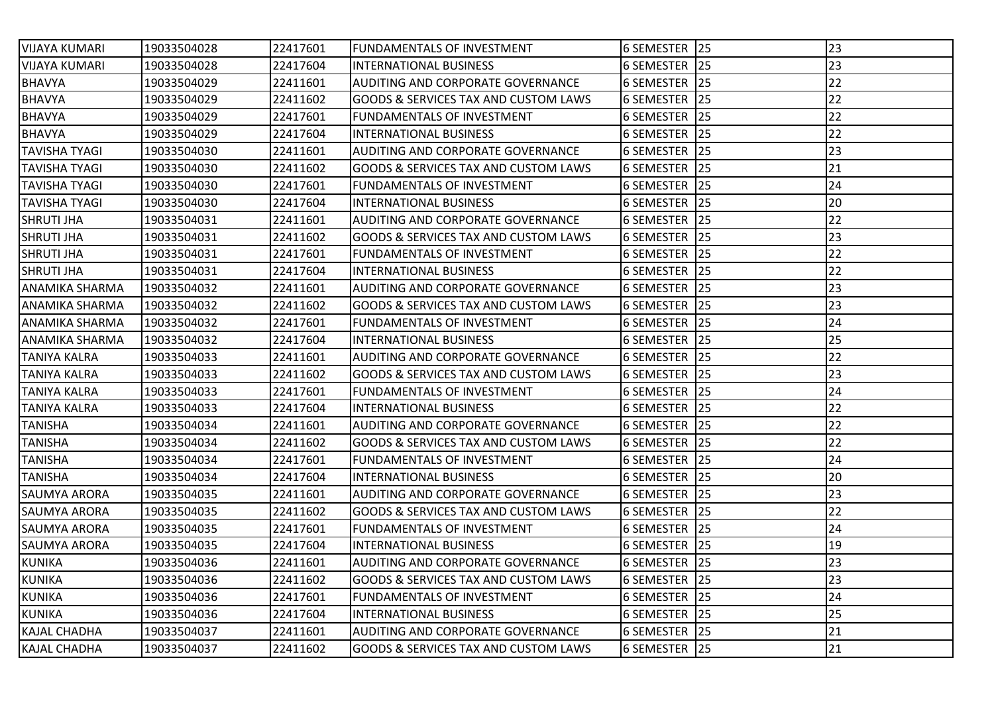| <b>VIJAYA KUMARI</b> | 19033504028 | 22417601 | <b>FUNDAMENTALS OF INVESTMENT</b>               | 6 SEMESTER 25 | 23 |
|----------------------|-------------|----------|-------------------------------------------------|---------------|----|
| <b>VIJAYA KUMARI</b> | 19033504028 | 22417604 | <b>INTERNATIONAL BUSINESS</b>                   | 6 SEMESTER 25 | 23 |
| <b>BHAVYA</b>        | 19033504029 | 22411601 | AUDITING AND CORPORATE GOVERNANCE               | 6 SEMESTER 25 | 22 |
| <b>BHAVYA</b>        | 19033504029 | 22411602 | <b>GOODS &amp; SERVICES TAX AND CUSTOM LAWS</b> | 6 SEMESTER 25 | 22 |
| <b>BHAVYA</b>        | 19033504029 | 22417601 | FUNDAMENTALS OF INVESTMENT                      | 6 SEMESTER 25 | 22 |
| <b>BHAVYA</b>        | 19033504029 | 22417604 | <b>INTERNATIONAL BUSINESS</b>                   | 6 SEMESTER 25 | 22 |
| <b>TAVISHA TYAGI</b> | 19033504030 | 22411601 | AUDITING AND CORPORATE GOVERNANCE               | 6 SEMESTER 25 | 23 |
| <b>TAVISHA TYAGI</b> | 19033504030 | 22411602 | <b>GOODS &amp; SERVICES TAX AND CUSTOM LAWS</b> | 6 SEMESTER 25 | 21 |
| <b>TAVISHA TYAGI</b> | 19033504030 | 22417601 | <b>FUNDAMENTALS OF INVESTMENT</b>               | 6 SEMESTER 25 | 24 |
| <b>TAVISHA TYAGI</b> | 19033504030 | 22417604 | <b>INTERNATIONAL BUSINESS</b>                   | 6 SEMESTER 25 | 20 |
| <b>SHRUTI JHA</b>    | 19033504031 | 22411601 | AUDITING AND CORPORATE GOVERNANCE               | 6 SEMESTER 25 | 22 |
| <b>SHRUTI JHA</b>    | 19033504031 | 22411602 | GOODS & SERVICES TAX AND CUSTOM LAWS            | 6 SEMESTER 25 | 23 |
| <b>SHRUTI JHA</b>    | 19033504031 | 22417601 | <b>FUNDAMENTALS OF INVESTMENT</b>               | 6 SEMESTER 25 | 22 |
| <b>SHRUTI JHA</b>    | 19033504031 | 22417604 | <b>INTERNATIONAL BUSINESS</b>                   | 6 SEMESTER 25 | 22 |
| ANAMIKA SHARMA       | 19033504032 | 22411601 | <b>AUDITING AND CORPORATE GOVERNANCE</b>        | 6 SEMESTER 25 | 23 |
| ANAMIKA SHARMA       | 19033504032 | 22411602 | <b>GOODS &amp; SERVICES TAX AND CUSTOM LAWS</b> | 6 SEMESTER 25 | 23 |
| ANAMIKA SHARMA       | 19033504032 | 22417601 | <b>FUNDAMENTALS OF INVESTMENT</b>               | 6 SEMESTER 25 | 24 |
| ANAMIKA SHARMA       | 19033504032 | 22417604 | <b>INTERNATIONAL BUSINESS</b>                   | 6 SEMESTER 25 | 25 |
| <b>TANIYA KALRA</b>  | 19033504033 | 22411601 | AUDITING AND CORPORATE GOVERNANCE               | 6 SEMESTER 25 | 22 |
| <b>TANIYA KALRA</b>  | 19033504033 | 22411602 | <b>GOODS &amp; SERVICES TAX AND CUSTOM LAWS</b> | 6 SEMESTER 25 | 23 |
| <b>TANIYA KALRA</b>  | 19033504033 | 22417601 | FUNDAMENTALS OF INVESTMENT                      | 6 SEMESTER 25 | 24 |
| TANIYA KALRA         | 19033504033 | 22417604 | <b>INTERNATIONAL BUSINESS</b>                   | 6 SEMESTER 25 | 22 |
| <b>TANISHA</b>       | 19033504034 | 22411601 | <b>AUDITING AND CORPORATE GOVERNANCE</b>        | 6 SEMESTER 25 | 22 |
| <b>TANISHA</b>       | 19033504034 | 22411602 | GOODS & SERVICES TAX AND CUSTOM LAWS            | 6 SEMESTER 25 | 22 |
| <b>TANISHA</b>       | 19033504034 | 22417601 | <b>FUNDAMENTALS OF INVESTMENT</b>               | 6 SEMESTER 25 | 24 |
| <b>TANISHA</b>       | 19033504034 | 22417604 | <b>INTERNATIONAL BUSINESS</b>                   | 6 SEMESTER 25 | 20 |
| <b>SAUMYA ARORA</b>  | 19033504035 | 22411601 | AUDITING AND CORPORATE GOVERNANCE               | 6 SEMESTER 25 | 23 |
| <b>SAUMYA ARORA</b>  | 19033504035 | 22411602 | <b>GOODS &amp; SERVICES TAX AND CUSTOM LAWS</b> | 6 SEMESTER 25 | 22 |
| <b>SAUMYA ARORA</b>  | 19033504035 | 22417601 | FUNDAMENTALS OF INVESTMENT                      | 6 SEMESTER 25 | 24 |
| <b>SAUMYA ARORA</b>  | 19033504035 | 22417604 | <b>INTERNATIONAL BUSINESS</b>                   | 6 SEMESTER 25 | 19 |
| <b>KUNIKA</b>        | 19033504036 | 22411601 | <b>AUDITING AND CORPORATE GOVERNANCE</b>        | 6 SEMESTER 25 | 23 |
| <b>KUNIKA</b>        | 19033504036 | 22411602 | GOODS & SERVICES TAX AND CUSTOM LAWS            | 6 SEMESTER 25 | 23 |
| <b>KUNIKA</b>        | 19033504036 | 22417601 | <b>FUNDAMENTALS OF INVESTMENT</b>               | 6 SEMESTER 25 | 24 |
| <b>KUNIKA</b>        | 19033504036 | 22417604 | <b>INTERNATIONAL BUSINESS</b>                   | 6 SEMESTER 25 | 25 |
| KAJAL CHADHA         | 19033504037 | 22411601 | AUDITING AND CORPORATE GOVERNANCE               | 6 SEMESTER 25 | 21 |
| KAJAL CHADHA         | 19033504037 | 22411602 | <b>GOODS &amp; SERVICES TAX AND CUSTOM LAWS</b> | 6 SEMESTER 25 | 21 |
|                      |             |          |                                                 |               |    |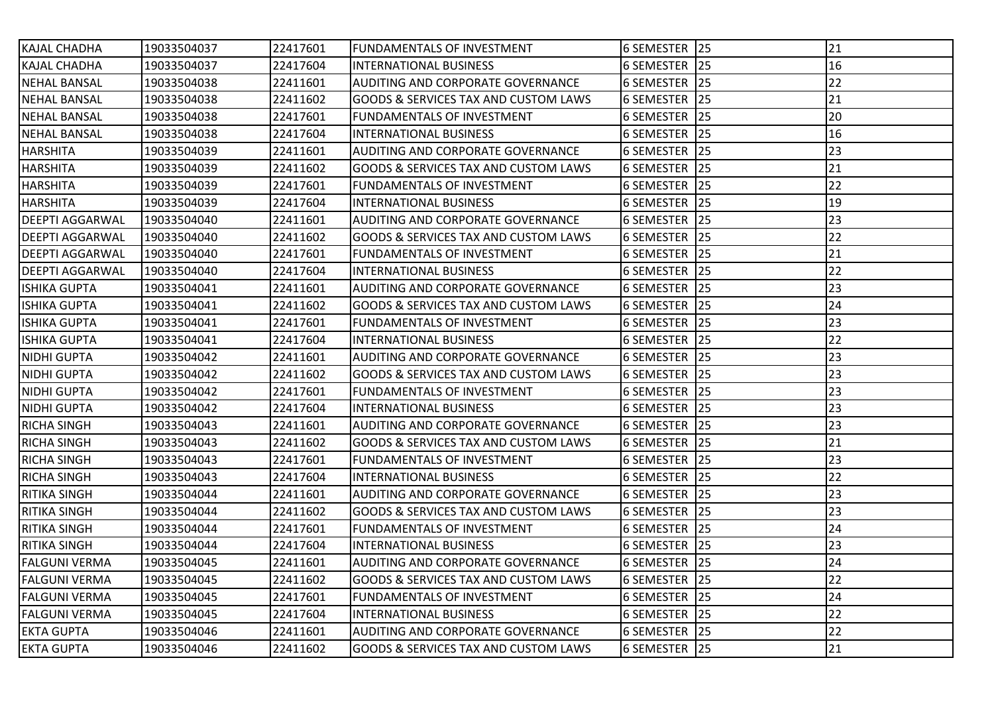| 19033504037 | 22417601 |                                                 |                                                                                                                                                                                                                                                                                                                                                                                                                                                                                                                                                                                                                                                                                                                                                                                                                                                                                                                                                 |    | 21                                                                                                                                                                                                                                                                                                                                                                                                                                                                                                                                                                                                                                     |
|-------------|----------|-------------------------------------------------|-------------------------------------------------------------------------------------------------------------------------------------------------------------------------------------------------------------------------------------------------------------------------------------------------------------------------------------------------------------------------------------------------------------------------------------------------------------------------------------------------------------------------------------------------------------------------------------------------------------------------------------------------------------------------------------------------------------------------------------------------------------------------------------------------------------------------------------------------------------------------------------------------------------------------------------------------|----|----------------------------------------------------------------------------------------------------------------------------------------------------------------------------------------------------------------------------------------------------------------------------------------------------------------------------------------------------------------------------------------------------------------------------------------------------------------------------------------------------------------------------------------------------------------------------------------------------------------------------------------|
| 19033504037 | 22417604 |                                                 |                                                                                                                                                                                                                                                                                                                                                                                                                                                                                                                                                                                                                                                                                                                                                                                                                                                                                                                                                 |    | 16                                                                                                                                                                                                                                                                                                                                                                                                                                                                                                                                                                                                                                     |
| 19033504038 | 22411601 |                                                 |                                                                                                                                                                                                                                                                                                                                                                                                                                                                                                                                                                                                                                                                                                                                                                                                                                                                                                                                                 |    | 22                                                                                                                                                                                                                                                                                                                                                                                                                                                                                                                                                                                                                                     |
| 19033504038 | 22411602 |                                                 |                                                                                                                                                                                                                                                                                                                                                                                                                                                                                                                                                                                                                                                                                                                                                                                                                                                                                                                                                 |    | 21                                                                                                                                                                                                                                                                                                                                                                                                                                                                                                                                                                                                                                     |
| 19033504038 | 22417601 | <b>FUNDAMENTALS OF INVESTMENT</b>               |                                                                                                                                                                                                                                                                                                                                                                                                                                                                                                                                                                                                                                                                                                                                                                                                                                                                                                                                                 | 25 | 20                                                                                                                                                                                                                                                                                                                                                                                                                                                                                                                                                                                                                                     |
| 19033504038 | 22417604 | <b>INTERNATIONAL BUSINESS</b>                   |                                                                                                                                                                                                                                                                                                                                                                                                                                                                                                                                                                                                                                                                                                                                                                                                                                                                                                                                                 |    | 16                                                                                                                                                                                                                                                                                                                                                                                                                                                                                                                                                                                                                                     |
| 19033504039 | 22411601 |                                                 |                                                                                                                                                                                                                                                                                                                                                                                                                                                                                                                                                                                                                                                                                                                                                                                                                                                                                                                                                 |    | 23                                                                                                                                                                                                                                                                                                                                                                                                                                                                                                                                                                                                                                     |
| 19033504039 | 22411602 |                                                 |                                                                                                                                                                                                                                                                                                                                                                                                                                                                                                                                                                                                                                                                                                                                                                                                                                                                                                                                                 |    | 21                                                                                                                                                                                                                                                                                                                                                                                                                                                                                                                                                                                                                                     |
| 19033504039 | 22417601 |                                                 |                                                                                                                                                                                                                                                                                                                                                                                                                                                                                                                                                                                                                                                                                                                                                                                                                                                                                                                                                 |    | 22                                                                                                                                                                                                                                                                                                                                                                                                                                                                                                                                                                                                                                     |
| 19033504039 | 22417604 | <b>INTERNATIONAL BUSINESS</b>                   |                                                                                                                                                                                                                                                                                                                                                                                                                                                                                                                                                                                                                                                                                                                                                                                                                                                                                                                                                 |    | 19                                                                                                                                                                                                                                                                                                                                                                                                                                                                                                                                                                                                                                     |
| 19033504040 | 22411601 |                                                 |                                                                                                                                                                                                                                                                                                                                                                                                                                                                                                                                                                                                                                                                                                                                                                                                                                                                                                                                                 |    | 23                                                                                                                                                                                                                                                                                                                                                                                                                                                                                                                                                                                                                                     |
| 19033504040 | 22411602 | <b>GOODS &amp; SERVICES TAX AND CUSTOM LAWS</b> |                                                                                                                                                                                                                                                                                                                                                                                                                                                                                                                                                                                                                                                                                                                                                                                                                                                                                                                                                 |    | 22                                                                                                                                                                                                                                                                                                                                                                                                                                                                                                                                                                                                                                     |
| 19033504040 | 22417601 |                                                 |                                                                                                                                                                                                                                                                                                                                                                                                                                                                                                                                                                                                                                                                                                                                                                                                                                                                                                                                                 |    | 21                                                                                                                                                                                                                                                                                                                                                                                                                                                                                                                                                                                                                                     |
| 19033504040 | 22417604 | <b>INTERNATIONAL BUSINESS</b>                   |                                                                                                                                                                                                                                                                                                                                                                                                                                                                                                                                                                                                                                                                                                                                                                                                                                                                                                                                                 |    | 22                                                                                                                                                                                                                                                                                                                                                                                                                                                                                                                                                                                                                                     |
| 19033504041 | 22411601 |                                                 |                                                                                                                                                                                                                                                                                                                                                                                                                                                                                                                                                                                                                                                                                                                                                                                                                                                                                                                                                 |    | 23                                                                                                                                                                                                                                                                                                                                                                                                                                                                                                                                                                                                                                     |
| 19033504041 | 22411602 |                                                 |                                                                                                                                                                                                                                                                                                                                                                                                                                                                                                                                                                                                                                                                                                                                                                                                                                                                                                                                                 |    | 24                                                                                                                                                                                                                                                                                                                                                                                                                                                                                                                                                                                                                                     |
| 19033504041 | 22417601 | <b>FUNDAMENTALS OF INVESTMENT</b>               |                                                                                                                                                                                                                                                                                                                                                                                                                                                                                                                                                                                                                                                                                                                                                                                                                                                                                                                                                 |    | 23                                                                                                                                                                                                                                                                                                                                                                                                                                                                                                                                                                                                                                     |
| 19033504041 | 22417604 | <b>INTERNATIONAL BUSINESS</b>                   |                                                                                                                                                                                                                                                                                                                                                                                                                                                                                                                                                                                                                                                                                                                                                                                                                                                                                                                                                 |    | 22                                                                                                                                                                                                                                                                                                                                                                                                                                                                                                                                                                                                                                     |
| 19033504042 | 22411601 | AUDITING AND CORPORATE GOVERNANCE               |                                                                                                                                                                                                                                                                                                                                                                                                                                                                                                                                                                                                                                                                                                                                                                                                                                                                                                                                                 |    | 23                                                                                                                                                                                                                                                                                                                                                                                                                                                                                                                                                                                                                                     |
| 19033504042 | 22411602 |                                                 |                                                                                                                                                                                                                                                                                                                                                                                                                                                                                                                                                                                                                                                                                                                                                                                                                                                                                                                                                 |    | 23                                                                                                                                                                                                                                                                                                                                                                                                                                                                                                                                                                                                                                     |
| 19033504042 | 22417601 |                                                 |                                                                                                                                                                                                                                                                                                                                                                                                                                                                                                                                                                                                                                                                                                                                                                                                                                                                                                                                                 |    | 23                                                                                                                                                                                                                                                                                                                                                                                                                                                                                                                                                                                                                                     |
| 19033504042 | 22417604 | <b>INTERNATIONAL BUSINESS</b>                   |                                                                                                                                                                                                                                                                                                                                                                                                                                                                                                                                                                                                                                                                                                                                                                                                                                                                                                                                                 |    | 23                                                                                                                                                                                                                                                                                                                                                                                                                                                                                                                                                                                                                                     |
| 19033504043 | 22411601 |                                                 |                                                                                                                                                                                                                                                                                                                                                                                                                                                                                                                                                                                                                                                                                                                                                                                                                                                                                                                                                 |    | 23                                                                                                                                                                                                                                                                                                                                                                                                                                                                                                                                                                                                                                     |
| 19033504043 | 22411602 | <b>GOODS &amp; SERVICES TAX AND CUSTOM LAWS</b> |                                                                                                                                                                                                                                                                                                                                                                                                                                                                                                                                                                                                                                                                                                                                                                                                                                                                                                                                                 | 25 | 21                                                                                                                                                                                                                                                                                                                                                                                                                                                                                                                                                                                                                                     |
| 19033504043 | 22417601 |                                                 |                                                                                                                                                                                                                                                                                                                                                                                                                                                                                                                                                                                                                                                                                                                                                                                                                                                                                                                                                 |    | 23                                                                                                                                                                                                                                                                                                                                                                                                                                                                                                                                                                                                                                     |
| 19033504043 | 22417604 | <b>INTERNATIONAL BUSINESS</b>                   |                                                                                                                                                                                                                                                                                                                                                                                                                                                                                                                                                                                                                                                                                                                                                                                                                                                                                                                                                 |    | 22                                                                                                                                                                                                                                                                                                                                                                                                                                                                                                                                                                                                                                     |
| 19033504044 | 22411601 |                                                 |                                                                                                                                                                                                                                                                                                                                                                                                                                                                                                                                                                                                                                                                                                                                                                                                                                                                                                                                                 |    | 23                                                                                                                                                                                                                                                                                                                                                                                                                                                                                                                                                                                                                                     |
| 19033504044 | 22411602 |                                                 |                                                                                                                                                                                                                                                                                                                                                                                                                                                                                                                                                                                                                                                                                                                                                                                                                                                                                                                                                 |    | 23                                                                                                                                                                                                                                                                                                                                                                                                                                                                                                                                                                                                                                     |
| 19033504044 | 22417601 |                                                 |                                                                                                                                                                                                                                                                                                                                                                                                                                                                                                                                                                                                                                                                                                                                                                                                                                                                                                                                                 |    | 24                                                                                                                                                                                                                                                                                                                                                                                                                                                                                                                                                                                                                                     |
| 19033504044 | 22417604 | <b>INTERNATIONAL BUSINESS</b>                   |                                                                                                                                                                                                                                                                                                                                                                                                                                                                                                                                                                                                                                                                                                                                                                                                                                                                                                                                                 |    | 23                                                                                                                                                                                                                                                                                                                                                                                                                                                                                                                                                                                                                                     |
| 19033504045 | 22411601 | AUDITING AND CORPORATE GOVERNANCE               |                                                                                                                                                                                                                                                                                                                                                                                                                                                                                                                                                                                                                                                                                                                                                                                                                                                                                                                                                 |    | 24                                                                                                                                                                                                                                                                                                                                                                                                                                                                                                                                                                                                                                     |
| 19033504045 | 22411602 |                                                 |                                                                                                                                                                                                                                                                                                                                                                                                                                                                                                                                                                                                                                                                                                                                                                                                                                                                                                                                                 |    | 22                                                                                                                                                                                                                                                                                                                                                                                                                                                                                                                                                                                                                                     |
| 19033504045 | 22417601 |                                                 |                                                                                                                                                                                                                                                                                                                                                                                                                                                                                                                                                                                                                                                                                                                                                                                                                                                                                                                                                 |    | 24                                                                                                                                                                                                                                                                                                                                                                                                                                                                                                                                                                                                                                     |
| 19033504045 | 22417604 |                                                 |                                                                                                                                                                                                                                                                                                                                                                                                                                                                                                                                                                                                                                                                                                                                                                                                                                                                                                                                                 |    | 22                                                                                                                                                                                                                                                                                                                                                                                                                                                                                                                                                                                                                                     |
| 19033504046 | 22411601 |                                                 |                                                                                                                                                                                                                                                                                                                                                                                                                                                                                                                                                                                                                                                                                                                                                                                                                                                                                                                                                 |    | 22                                                                                                                                                                                                                                                                                                                                                                                                                                                                                                                                                                                                                                     |
| 19033504046 | 22411602 | <b>GOODS &amp; SERVICES TAX AND CUSTOM LAWS</b> |                                                                                                                                                                                                                                                                                                                                                                                                                                                                                                                                                                                                                                                                                                                                                                                                                                                                                                                                                 |    | 21                                                                                                                                                                                                                                                                                                                                                                                                                                                                                                                                                                                                                                     |
|             |          |                                                 | <b>FUNDAMENTALS OF INVESTMENT</b><br><b>INTERNATIONAL BUSINESS</b><br>AUDITING AND CORPORATE GOVERNANCE<br><b>GOODS &amp; SERVICES TAX AND CUSTOM LAWS</b><br>AUDITING AND CORPORATE GOVERNANCE<br><b>IGOODS &amp; SERVICES TAX AND CUSTOM LAWS</b><br><b>IFUNDAMENTALS OF INVESTMENT</b><br><b>AUDITING AND CORPORATE GOVERNANCE</b><br><b>FUNDAMENTALS OF INVESTMENT</b><br><b>AUDITING AND CORPORATE GOVERNANCE</b><br><b>GOODS &amp; SERVICES TAX AND CUSTOM LAWS</b><br><b>GOODS &amp; SERVICES TAX AND CUSTOM LAWS</b><br><b>IFUNDAMENTALS OF INVESTMENT</b><br><b>JAUDITING AND CORPORATE GOVERNANCE</b><br><b>FUNDAMENTALS OF INVESTMENT</b><br>AUDITING AND CORPORATE GOVERNANCE<br><b>GOODS &amp; SERVICES TAX AND CUSTOM LAWS</b><br>FUNDAMENTALS OF INVESTMENT<br><b>GOODS &amp; SERVICES TAX AND CUSTOM LAWS</b><br><b>FUNDAMENTALS OF INVESTMENT</b><br><b>INTERNATIONAL BUSINESS</b><br><b>AUDITING AND CORPORATE GOVERNANCE</b> |    | 6 SEMESTER 25<br>6 SEMESTER 25<br>6 SEMESTER 25<br>6 SEMESTER 25<br><b>6 SEMESTER</b><br>6 SEMESTER 25<br>6 SEMESTER 25<br>6 SEMESTER 25<br>6 SEMESTER 25<br>6 SEMESTER 25<br>6 SEMESTER 25<br>6 SEMESTER 25<br>6 SEMESTER 25<br>6 SEMESTER 125<br>6 SEMESTER 25<br>6 SEMESTER 25<br>6 SEMESTER 25<br>6 SEMESTER 25<br>6 SEMESTER 25<br>6 SEMESTER 25<br>6 SEMESTER 25<br>6 SEMESTER 25<br>6 SEMESTER 25<br>6 SEMESTER  <br>6 SEMESTER 25<br>6 SEMESTER 25<br>6 SEMESTER 25<br>6 SEMESTER 25<br>6 SEMESTER 25<br>6 SEMESTER   25<br>6 SEMESTER 25<br>6 SEMESTER 25<br>6 SEMESTER 25<br>6 SEMESTER 25<br>6 SEMESTER 25<br>6 SEMESTER 25 |